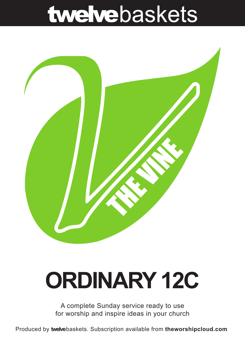## twelvebaskets



# **ORDINARY 12C**

A complete Sunday service ready to use for worship and inspire ideas in your church

Produced by **twelve**baskets. Subscription available from **theworshipcloud.com**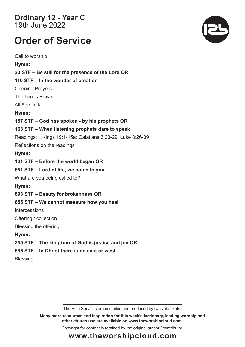**Ordinary 12 - Year C**  19th June 2022

### **Order of Service**

Call to worship **Hymn: 20 STF – Be still for the presence of the Lord OR 110 STF – In the wonder of creation** Opening Prayers The Lord's Prayer All Age Talk **Hymn: 157 STF – God has spoken - by his prophets OR 163 STF – When listening prophets dare to speak** Readings: 1 Kings 19:1-15a; Galatians 3:23-29; Luke 8:26-39 Reflections on the readings **Hymn: 101 STF – Before the world began OR 651 STF – Lord of life, we come to you** What are you being called to? **Hymn: 693 STF – Beauty for brokenness OR 655 STF – We cannot measure how you heal**  Intercessions Offering / collection Blessing the offering **Hymn: 255 STF – The kingdom of God is justice and joy OR 685 STF – In Christ there is no east or west Blessing** 

The Vine Services are compiled and produced by twelvebaskets.

**Many more resources and inspiration for this week's lectionary, leading worship and other church use are available on www.theworshipcloud.com.**

Copyright for content is retained by the original author / contributor.



### **www.theworshipcloud.com**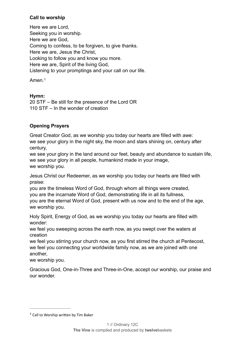#### **Call to worship**

Here we are Lord, Seeking you in worship. Here we are God, Coming to confess, to be forgiven, to give thanks. Here we are, Jesus the Christ, Looking to follow you and know you more. Here we are, Spirit of the living God, Listening to your promptings and your call on our life.

<span id="page-2-1"></span>Amen.[1](#page-2-0)

#### **Hymn:**

20 STF – Be still for the presence of the Lord OR 110 STF – In the wonder of creation

#### **Opening Prayers**

Great Creator God, as we worship you today our hearts are filled with awe: we see your glory in the night sky, the moon and stars shining on, century after century,

we see your glory in the land around our feet, beauty and abundance to sustain life, we see your glory in all people, humankind made in your image, we worship you.

Jesus Christ our Redeemer, as we worship you today our hearts are filled with praise:

you are the timeless Word of God, through whom all things were created, you are the incarnate Word of God, demonstrating life in all its fullness, you are the eternal Word of God, present with us now and to the end of the age, we worship you.

Holy Spirit, Energy of God, as we worship you today our hearts are filled with wonder:

we feel you sweeping across the earth now, as you swept over the waters at creation

we feel you stirring your church now, as you first stirred the church at Pentecost, we feel you connecting your worldwide family now, as we are joined with one another,

we worship you.

Gracious God, One-in-Three and Three-in-One, accept our worship, our praise and our wonder.

<span id="page-2-0"></span> $1$  Call to Worship written by Tim Baker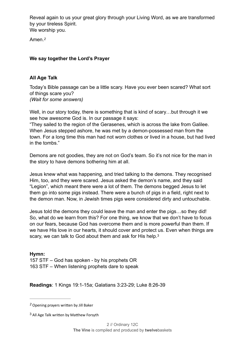Reveal again to us your great glory through your Living Word, as we are transformed by your tireless Spirit. We worship you.

<span id="page-3-2"></span>Amen.*[2](#page-3-0)*

#### **We say together the Lord's Prayer**

#### **All Age Talk**

Today's Bible passage can be a little scary. Have you ever been scared? What sort of things scare you? *(Wait for some answers)*

Well, in our story today, there is something that is kind of scary...but through it we see how awesome God is. In our passage it says:

"They sailed to the region of the Gerasenes, which is across the lake from Galilee. When Jesus stepped ashore, he was met by a demon-possessed man from the town. For a long time this man had not worn clothes or lived in a house, but had lived in the tombs."

Demons are not goodies, they are not on God's team. So it's not nice for the man in the story to have demons bothering him at all.

Jesus knew what was happening, and tried talking to the demons. They recognised Him, too, and they were scared. Jesus asked the demon's name, and they said "Legion", which meant there were a lot of them. The demons begged Jesus to let them go into some pigs instead. There were a bunch of pigs in a field, right next to the demon man. Now, in Jewish times pigs were considered dirty and untouchable.

Jesus told the demons they could leave the man and enter the pigs…so they did! So, what do we learn from this? For one thing, we know that we don't have to focus on our fears, because God has overcome them and is more powerful than them. If we have His love in our hearts, it should cover and protect us. Even when things are scary, we can talk to God about them and ask for His help.<sup>[3](#page-3-1)</sup>

<span id="page-3-3"></span>**Hymn:** 157 STF – God has spoken - by his prophets OR 163 STF – When listening prophets dare to speak

**Readings**: 1 Kings 19:1-15a; Galatians 3:23-29; Luke 8:26-39

<span id="page-3-0"></span>Opening prayers written by Jill Baker *[2](#page-3-2)*

<span id="page-3-1"></span><sup>&</sup>lt;sup>[3](#page-3-3)</sup> All Age Talk written by Matthew Forsyth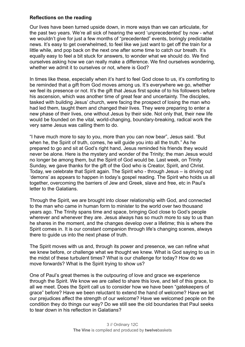#### **Reflections on the reading**

Our lives have been turned upside down, in more ways than we can articulate, for the past two years. We're all sick of hearing the word 'unprecedented' by now - what we wouldn't give for just a few months of "precedented" events, boringly predictable news. It's easy to get overwhelmed, to feel like we just want to get off the train for a little while, and pop back on the next one after some time to catch our breath. It's equally easy to feel a bit stuck for answers, to wonder what we should do. We find ourselves asking how we can really make a difference. We find ourselves wondering, whether we admit it to ourselves or not, where is God?

In times like these, especially when it's hard to feel God close to us, it's comforting to be reminded that a gift from God moves among us. It's everywhere we go, whether we feel its presence or not. It's the gift that Jesus first spoke of to his followers before his ascension, which was another time of great fear and uncertainty. The disciples, tasked with building Jesus' church, were facing the prospect of losing the man who had led them, taught them and changed their lives. They were preparing to enter a new phase of their lives, one without Jesus by their side. Not only that, their new life would be founded on the vital, world-changing, boundary-breaking, radical work the very same Jesus was calling them to do.

"I have much more to say to you, more than you can now bear", Jesus said. "But when he, the Spirit of truth, comes, he will guide you into all the truth." As he prepared to go and sit at God's right hand, Jesus reminded his friends they would never be alone. Here is the mystery and wonder of the Trinity; the man Jesus would no longer be among them, but the Spirit of God would be. Last week, on Trinity Sunday, we gave thanks for the gift of the God who is Creator, Spirit, and Christ. Today, we celebrate that Spirit again. The Spirit who - through Jesus – is driving out 'demons' as appears to happen in today's gospel reading. The Spirit who holds us all together, overcoming the barriers of Jew and Greek, slave and free, etc in Paul's letter to the Galatians.

Through the Spirit, we are brought into closer relationship with God, and connected to the man who came in human form to minister to the world over two thousand years ago. The Trinity spans time and space, bringing God close to God's people wherever and whenever they are. Jesus always has so much more to say to us than he shares in the moment, and the changes develop over a lifetime; this is where the Spirit comes in. It is our constant companion through life's changing scenes, always there to guide us into the next phase of truth.

The Spirit moves with us and, through its power and presence, we can refine what we knew before, or challenge what we thought we knew. What is God saying to us in the midst of these turbulent times? What is our challenge for today? How do we move forwards? What is the Spirit trying to show us?

One of Paul's great themes is the outpouring of love and grace we experience through the Spirit. We know we are called to share this love, and tell of this grace, to all we meet. Does the Spirit call us to consider how we have been "gatekeepers of grace" before? Have we been reluctant to extend the hand of welcome? Have we let our prejudices affect the strength of our welcome? Have we welcomed people on the condition they do things our way? Do we still see the old boundaries that Paul seeks to tear down in his reflection in Galatians?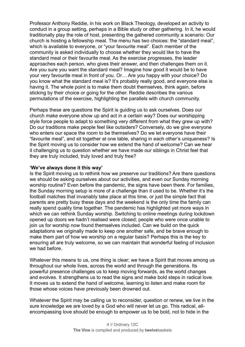Professor Anthony Reddie, in his work on Black Theology, developed an activity to conduct in a group setting, perhaps in a Bible study or other gathering. In it, he would traditionally play the role of host, presenting the gathered community a scenario: Our church is hosting a fellowship meal. The menu has two choices: the "standard meal", which is available to everyone, or "your favourite meal". Each member of the community is asked individually to choose whether they would like to have the standard meal or their favourite meal. As the exercise progresses, the leader approaches each person, who gives their answer, and then challenges them on it. Are you sure you want the standard meal? Imagine how good it would be to have your very favourite meal in front of you. Or… Are you happy with your choice? Do you know what the standard meal is? It's probably really good, and everyone else is having it. The whole point is to make them doubt themselves, think again, before sticking by their choice or going for the other. Reddie describes the various permutations of the exercise, highlighting the parallels with church community.

Perhaps these are questions the Spirit is guiding us to ask ourselves. Does our church make everyone show up and act in a certain way? Does our worshipping style force people to adapt to something very different from what they grew up with? Do our traditions make people feel like outsiders? Conversely, do we give everyone who enters our space the room to be themselves? Do we let everyone have their "favourite meal", and sit together at one table, sharing in each other's uniqueness? Is the Spirit moving us to consider how we extend the hand of welcome? Can we hear it challenging us to question whether we have made our siblings in Christ feel that they are truly included, truly loved and truly free?

#### **'We've always done it this way'**

Is the Spirit moving us to rethink how we preserve our traditions? Are there questions we should be asking ourselves about our activities, and even our Sunday morning worship routine? Even before the pandemic, the signs have been there. For families, the Sunday morning setup is more of a challenge than it used to be. Whether it's the football matches that invariably take place at this time, or just the simple fact that parents are pretty busy these days and the weekend is the only time the family can really spend quality time together. The pandemic has highlighted yet more ways in which we can rethink Sunday worship. Switching to online meetings during lockdown opened up doors we hadn't realised were closed; people who were once unable to join us for worship now found themselves included. Can we build on the quick adaptations we originally made to keep one another safe, and be brave enough to make them part of how we worship on a regular basis? Perhaps this is the key to ensuring all are truly welcome, so we can maintain that wonderful feeling of inclusion we had before.

Whatever this means to us, one thing is clear; we have a Spirit that moves among us throughout our whole lives, across the world and through the generations. Its powerful presence challenges us to keep moving forwards, as the world changes and evolves. It strengthens us to read the signs and make bold steps in radical love. It moves us to extend the hand of welcome, learning to listen and make room for those whose voices have previously been drowned out.

Whatever the Spirit may be calling us to reconsider, question or renew, we live in the sure knowledge we are loved by a God who will never let us go. This radical, allencompassing love should be enough to empower us to be bold, not to hide in the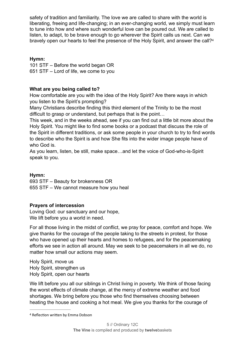safety of tradition and familiarity. The love we are called to share with the world is liberating, freeing and life-changing; in an ever-changing world, we simply must learn to tune into how and where such wonderful love can be poured out. We are called to listen, to adapt, to be brave enough to go wherever the Spirit calls us next. Can we bravely open our hearts to feel the presence of the Holy Spirit, and answer the call?[4](#page-6-0)

#### <span id="page-6-1"></span>**Hymn:**

101 STF – Before the world began OR 651 STF – Lord of life, we come to you

#### **What are you being called to?**

How comfortable are you with the idea of the Holy Spirit? Are there ways in which you listen to the Spirit's prompting?

Many Christians describe finding this third element of the Trinity to be the most difficult to grasp or understand, but perhaps that is the point…

This week, and in the weeks ahead, see if you can find out a little bit more about the Holy Spirit. You might like to find some books or a podcast that discuss the role of the Spirit in different traditions, or ask some people in your church to try to find words to describe who the Spirit is and how She fits into the wider image people have of who God is.

As you learn, listen, be still, make space…and let the voice of God-who-is-Spirit speak to you.

#### **Hymn:**

693 STF – Beauty for brokenness OR 655 STF – We cannot measure how you heal

#### **Prayers of intercession**

Loving God: our sanctuary and our hope, We lift before you a world in need.

For all those living in the midst of conflict, we pray for peace, comfort and hope. We give thanks for the courage of the people taking to the streets in protest, for those who have opened up their hearts and homes to refugees, and for the peacemaking efforts we see in action all around. May we seek to be peacemakers in all we do, no matter how small our actions may seem.

Holy Spirit, move us Holy Spirit, strengthen us Holy Spirit, open our hearts

We lift before you all our siblings in Christ living in poverty. We think of those facing the worst effects of climate change, at the mercy of extreme weather and food shortages. We bring before you those who find themselves choosing between heating the house and cooking a hot meal. We give you thanks for the courage of

<span id="page-6-0"></span>[<sup>4</sup>](#page-6-1) Reflection written by Emma Dobson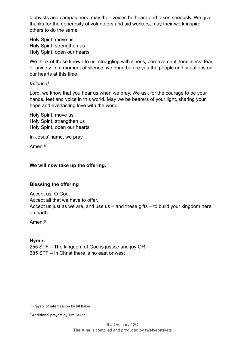lobbyists and campaigners; may their voices be heard and taken seriously. We give thanks for the generosity of volunteers and aid workers; may their work inspire others to do the same.

Holy Spirit, move us Holy Spirit, strengthen us Holy Spirit, open our hearts

We think of those known to us, struggling with illness, bereavement, loneliness, fear or anxiety. In a moment of silence, we bring before you the people and situations on our hearts at this time.

#### *[Silence]*

Lord, we know that you hear us when we pray. We ask for the courage to be your hands, feet and voice in this world. May we be bearers of your light, sharing your hope and everlasting love with the world.

Holy Spirit, move us Holy Spirit, strengthen us Holy Spirit, open our hearts

In Jesus' name, we pray

<span id="page-7-2"></span>Amen.[5](#page-7-0)

#### **We will now take up the offering.**

#### **Blessing the offering**

Accept us, O God. Accept all that we have to offer. Accept us just as we are, and use us – and these gifts – to build your kingdom here on earth.

<span id="page-7-3"></span>Amen.[6](#page-7-1)

**Hymn:** 255 STF – The kingdom of God is justice and joy OR 685 STF – In Christ there is no east or west

<span id="page-7-0"></span><sup>&</sup>lt;sup>[5](#page-7-2)</sup> Prayers of intercession by Jill Baker

<span id="page-7-1"></span><sup>&</sup>lt;sup>[6](#page-7-3)</sup> Additional prayers by Tim Baker